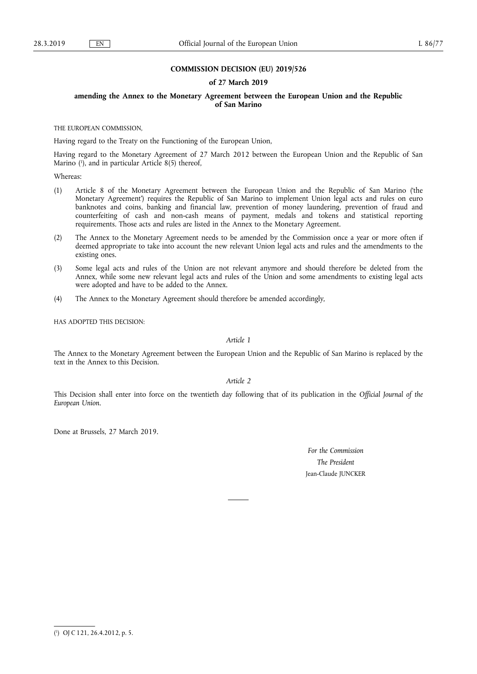### **COMMISSION DECISION (EU) 2019/526**

#### **of 27 March 2019**

#### **amending the Annex to the Monetary Agreement between the European Union and the Republic of San Marino**

THE EUROPEAN COMMISSION,

Having regard to the Treaty on the Functioning of the European Union,

Having regard to the Monetary Agreement of 27 March 2012 between the European Union and the Republic of San Marino ( 1 ), and in particular Article 8(5) thereof,

Whereas:

- (1) Article 8 of the Monetary Agreement between the European Union and the Republic of San Marino ('the Monetary Agreement') requires the Republic of San Marino to implement Union legal acts and rules on euro banknotes and coins, banking and financial law, prevention of money laundering, prevention of fraud and counterfeiting of cash and non-cash means of payment, medals and tokens and statistical reporting requirements. Those acts and rules are listed in the Annex to the Monetary Agreement.
- (2) The Annex to the Monetary Agreement needs to be amended by the Commission once a year or more often if deemed appropriate to take into account the new relevant Union legal acts and rules and the amendments to the existing ones.
- (3) Some legal acts and rules of the Union are not relevant anymore and should therefore be deleted from the Annex, while some new relevant legal acts and rules of the Union and some amendments to existing legal acts were adopted and have to be added to the Annex.
- (4) The Annex to the Monetary Agreement should therefore be amended accordingly,

HAS ADOPTED THIS DECISION:

*Article 1* 

The Annex to the Monetary Agreement between the European Union and the Republic of San Marino is replaced by the text in the Annex to this Decision.

*Article 2* 

This Decision shall enter into force on the twentieth day following that of its publication in the *Official Journal of the European Union*.

Done at Brussels, 27 March 2019.

*For the Commission The President*  Jean-Claude JUNCKER

<sup>(</sup> 1 ) OJ C 121, 26.4.2012, p. 5.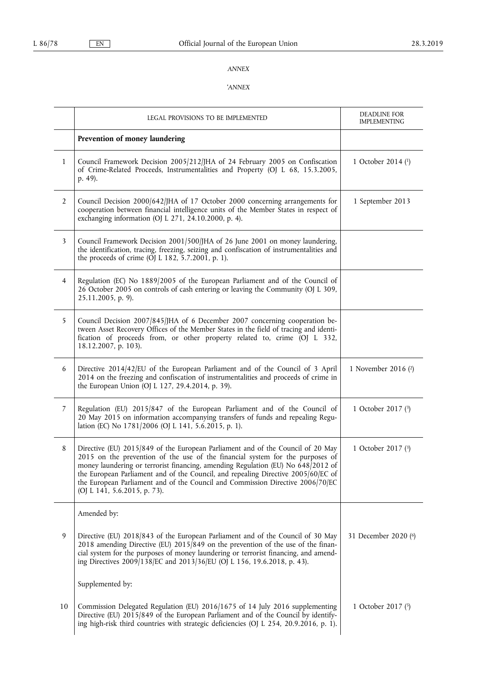## *ANNEX*

# '*ANNEX*

|                | LEGAL PROVISIONS TO BE IMPLEMENTED                                                                                                                                                                                                                                                                                                                                                                                                                          | <b>DEADLINE FOR</b><br><b>IMPLEMENTING</b> |
|----------------|-------------------------------------------------------------------------------------------------------------------------------------------------------------------------------------------------------------------------------------------------------------------------------------------------------------------------------------------------------------------------------------------------------------------------------------------------------------|--------------------------------------------|
|                | Prevention of money laundering                                                                                                                                                                                                                                                                                                                                                                                                                              |                                            |
| $\mathbf{1}$   | Council Framework Decision 2005/212/JHA of 24 February 2005 on Confiscation<br>of Crime-Related Proceeds, Instrumentalities and Property (OJ L 68, 15.3.2005,<br>p. 49).                                                                                                                                                                                                                                                                                    | 1 October 2014 (1)                         |
| $\overline{2}$ | Council Decision 2000/642/JHA of 17 October 2000 concerning arrangements for<br>cooperation between financial intelligence units of the Member States in respect of<br>exchanging information (OJ L 271, 24.10.2000, p. 4).                                                                                                                                                                                                                                 | 1 September 2013                           |
| 3              | Council Framework Decision 2001/500/JHA of 26 June 2001 on money laundering,<br>the identification, tracing, freezing, seizing and confiscation of instrumentalities and<br>the proceeds of crime (OJ L 182, 5.7.2001, p. 1).                                                                                                                                                                                                                               |                                            |
| 4              | Regulation (EC) No 1889/2005 of the European Parliament and of the Council of<br>26 October 2005 on controls of cash entering or leaving the Community (OJ L 309,<br>25.11.2005, p. 9).                                                                                                                                                                                                                                                                     |                                            |
| 5              | Council Decision 2007/845/JHA of 6 December 2007 concerning cooperation be-<br>tween Asset Recovery Offices of the Member States in the field of tracing and identi-<br>fication of proceeds from, or other property related to, crime (OJ L 332,<br>18.12.2007, p. 103).                                                                                                                                                                                   |                                            |
| 6              | Directive 2014/42/EU of the European Parliament and of the Council of 3 April<br>2014 on the freezing and confiscation of instrumentalities and proceeds of crime in<br>the European Union (OJ L 127, 29.4.2014, p. 39).                                                                                                                                                                                                                                    | 1 November 2016 (2)                        |
| 7              | Regulation (EU) 2015/847 of the European Parliament and of the Council of<br>20 May 2015 on information accompanying transfers of funds and repealing Regu-<br>lation (EC) No 1781/2006 (OJ L 141, 5.6.2015, p. 1).                                                                                                                                                                                                                                         | 1 October 2017 (3)                         |
| $\,8\,$        | Directive (EU) 2015/849 of the European Parliament and of the Council of 20 May<br>2015 on the prevention of the use of the financial system for the purposes of<br>money laundering or terrorist financing, amending Regulation (EU) No 648/2012 of<br>the European Parliament and of the Council, and repealing Directive 2005/60/EC of<br>the European Parliament and of the Council and Commission Directive 2006/70/EC<br>(OJ L 141, 5.6.2015, p. 73). | 1 October 2017 (3)                         |
|                | Amended by:                                                                                                                                                                                                                                                                                                                                                                                                                                                 |                                            |
| 9              | Directive (EU) 2018/843 of the European Parliament and of the Council of 30 May<br>2018 amending Directive (EU) $2015/849$ on the prevention of the use of the finan-<br>cial system for the purposes of money laundering or terrorist financing, and amend-<br>ing Directives 2009/138/EC and 2013/36/EU (OJ L 156, 19.6.2018, p. 43).                                                                                                                     | 31 December 2020 (6)                       |
|                | Supplemented by:                                                                                                                                                                                                                                                                                                                                                                                                                                            |                                            |
| 10             | Commission Delegated Regulation (EU) 2016/1675 of 14 July 2016 supplementing<br>Directive (EU) 2015/849 of the European Parliament and of the Council by identify-<br>ing high-risk third countries with strategic deficiencies (OJ L 254, 20.9.2016, p. 1).                                                                                                                                                                                                | 1 October 2017 (5)                         |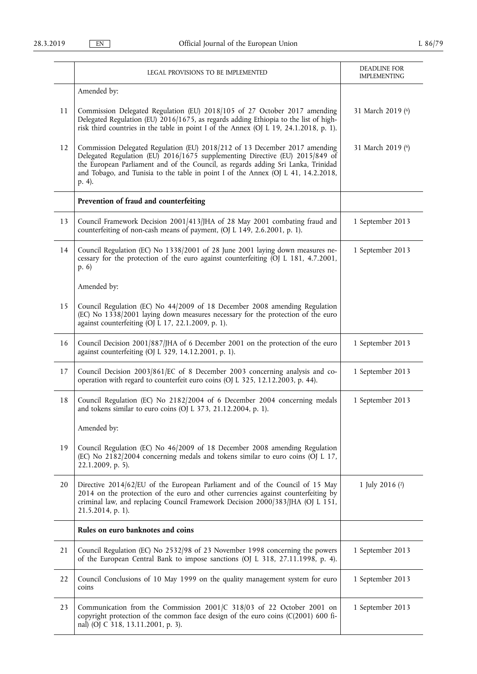|    | <b>LEGAL PROVISIONS TO BE IMPLEMENTED</b>                                                                                                                                                                                                                                                                                                      | <b>DEADLINE FOR</b><br><b>IMPLEMENTING</b> |
|----|------------------------------------------------------------------------------------------------------------------------------------------------------------------------------------------------------------------------------------------------------------------------------------------------------------------------------------------------|--------------------------------------------|
|    | Amended by:                                                                                                                                                                                                                                                                                                                                    |                                            |
| 11 | Commission Delegated Regulation (EU) 2018/105 of 27 October 2017 amending<br>Delegated Regulation (EU) 2016/1675, as regards adding Ethiopia to the list of high-<br>risk third countries in the table in point I of the Annex (OJ L 19, 24.1.2018, p. 1).                                                                                     | 31 March 2019 (6)                          |
| 12 | Commission Delegated Regulation (EU) 2018/212 of 13 December 2017 amending<br>Delegated Regulation (EU) 2016/1675 supplementing Directive (EU) 2015/849 of<br>the European Parliament and of the Council, as regards adding Sri Lanka, Trinidad<br>and Tobago, and Tunisia to the table in point I of the Annex (OJ L 41, 14.2.2018,<br>p. 4). | 31 March 2019 (6)                          |
|    | Prevention of fraud and counterfeiting                                                                                                                                                                                                                                                                                                         |                                            |
| 13 | Council Framework Decision 2001/413/JHA of 28 May 2001 combating fraud and<br>counterfeiting of non-cash means of payment, (OJ L 149, 2.6.2001, p. 1).                                                                                                                                                                                         | 1 September 2013                           |
| 14 | Council Regulation (EC) No 1338/2001 of 28 June 2001 laying down measures ne-<br>cessary for the protection of the euro against counterfeiting (OJ L 181, 4.7.2001,<br>(p. 6)                                                                                                                                                                  | 1 September 2013                           |
|    | Amended by:                                                                                                                                                                                                                                                                                                                                    |                                            |
| 15 | Council Regulation (EC) No 44/2009 of 18 December 2008 amending Regulation<br>(EC) No 1338/2001 laying down measures necessary for the protection of the euro<br>against counterfeiting (OJ L 17, 22.1.2009, p. 1).                                                                                                                            |                                            |
| 16 | Council Decision 2001/887/JHA of 6 December 2001 on the protection of the euro<br>against counterfeiting (OJ L 329, 14.12.2001, p. 1).                                                                                                                                                                                                         | 1 September 2013                           |
| 17 | Council Decision 2003/861/EC of 8 December 2003 concerning analysis and co-<br>operation with regard to counterfeit euro coins (OJ L 325, 12.12.2003, p. 44).                                                                                                                                                                                  | 1 September 2013                           |
| 18 | Council Regulation (EC) No 2182/2004 of 6 December 2004 concerning medals<br>and tokens similar to euro coins (OJ L 373, 21.12.2004, p. 1).                                                                                                                                                                                                    | 1 September 2013                           |
|    | Amended by:                                                                                                                                                                                                                                                                                                                                    |                                            |
| 19 | Council Regulation (EC) No 46/2009 of 18 December 2008 amending Regulation<br>(EC) No 2182/2004 concerning medals and tokens similar to euro coins (OJ L 17,<br>22.1.2009, p. 5).                                                                                                                                                              |                                            |
| 20 | Directive 2014/62/EU of the European Parliament and of the Council of 15 May<br>2014 on the protection of the euro and other currencies against counterfeiting by<br>criminal law, and replacing Council Framework Decision 2000/383/JHA (OJ L 151,<br>21.5.2014, p. 1).                                                                       | 1 July 2016 (2)                            |
|    | Rules on euro banknotes and coins                                                                                                                                                                                                                                                                                                              |                                            |
| 21 | Council Regulation (EC) No 2532/98 of 23 November 1998 concerning the powers<br>of the European Central Bank to impose sanctions (OJ L 318, 27.11.1998, p. 4).                                                                                                                                                                                 | 1 September 2013                           |
| 22 | Council Conclusions of 10 May 1999 on the quality management system for euro<br>coins                                                                                                                                                                                                                                                          | 1 September 2013                           |
| 23 | Communication from the Commission 2001/C 318/03 of 22 October 2001 on<br>copyright protection of the common face design of the euro coins (C(2001) 600 fi-<br>nal) (OJ C 318, 13.11.2001, p. 3).                                                                                                                                               | 1 September 2013                           |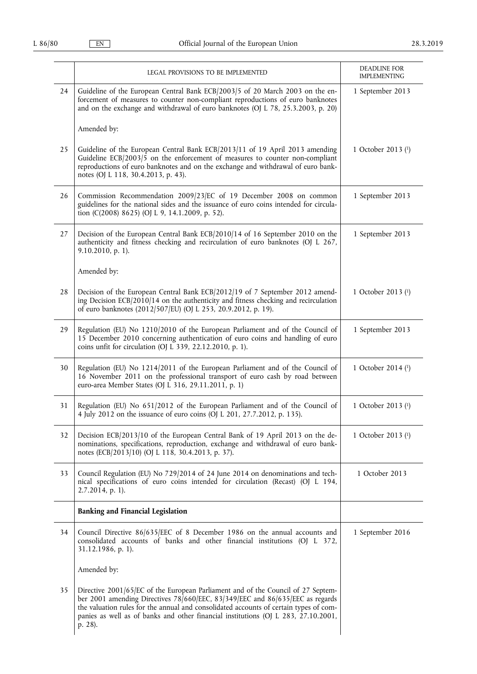|    | LEGAL PROVISIONS TO BE IMPLEMENTED                                                                                                                                                                                                                                                                                                                          | DEADLINE FOR<br><b>IMPLEMENTING</b> |
|----|-------------------------------------------------------------------------------------------------------------------------------------------------------------------------------------------------------------------------------------------------------------------------------------------------------------------------------------------------------------|-------------------------------------|
| 24 | Guideline of the European Central Bank ECB/2003/5 of 20 March 2003 on the en-<br>forcement of measures to counter non-compliant reproductions of euro banknotes<br>and on the exchange and withdrawal of euro banknotes (OJ L 78, 25.3.2003, p. 20)                                                                                                         | 1 September 2013                    |
|    | Amended by:                                                                                                                                                                                                                                                                                                                                                 |                                     |
| 25 | Guideline of the European Central Bank ECB/2013/11 of 19 April 2013 amending<br>Guideline ECB/2003/5 on the enforcement of measures to counter non-compliant<br>reproductions of euro banknotes and on the exchange and withdrawal of euro bank-<br>notes (OJ L 118, 30.4.2013, p. 43).                                                                     | 1 October 2013 (1)                  |
| 26 | Commission Recommendation 2009/23/EC of 19 December 2008 on common<br>guidelines for the national sides and the issuance of euro coins intended for circula-<br>tion (C(2008) 8625) (OJ L 9, 14.1.2009, p. 52).                                                                                                                                             | 1 September 2013                    |
| 27 | Decision of the European Central Bank ECB/2010/14 of 16 September 2010 on the<br>authenticity and fitness checking and recirculation of euro banknotes (OJ L 267,<br>9.10.2010, p. 1).                                                                                                                                                                      | 1 September 2013                    |
|    | Amended by:                                                                                                                                                                                                                                                                                                                                                 |                                     |
| 28 | Decision of the European Central Bank ECB/2012/19 of 7 September 2012 amend-<br>ing Decision ECB/2010/14 on the authenticity and fitness checking and recirculation<br>of euro banknotes (2012/507/EU) (OJ L 253, 20.9.2012, p. 19).                                                                                                                        | 1 October 2013 (1)                  |
| 29 | Regulation (EU) No 1210/2010 of the European Parliament and of the Council of<br>15 December 2010 concerning authentication of euro coins and handling of euro<br>coins unfit for circulation (OJ L 339, 22.12.2010, p. 1).                                                                                                                                 | 1 September 2013                    |
| 30 | Regulation (EU) No 1214/2011 of the European Parliament and of the Council of<br>16 November 2011 on the professional transport of euro cash by road between<br>euro-area Member States (OJ L 316, 29.11.2011, p. 1)                                                                                                                                        | 1 October 2014 (1)                  |
| 31 | Regulation (EU) No 651/2012 of the European Parliament and of the Council of<br>4 July 2012 on the issuance of euro coins (OJ L 201, 27.7.2012, p. 135).                                                                                                                                                                                                    | 1 October 2013 (1)                  |
| 32 | Decision ECB/2013/10 of the European Central Bank of 19 April 2013 on the de-<br>nominations, specifications, reproduction, exchange and withdrawal of euro bank-<br>notes (ECB/2013/10) (OJ L 118, 30.4.2013, p. 37).                                                                                                                                      | 1 October 2013 (1)                  |
| 33 | Council Regulation (EU) No 729/2014 of 24 June 2014 on denominations and tech-<br>nical specifications of euro coins intended for circulation (Recast) (OJ L 194,<br>2.7.2014, p. 1).                                                                                                                                                                       | 1 October 2013                      |
|    | <b>Banking and Financial Legislation</b>                                                                                                                                                                                                                                                                                                                    |                                     |
| 34 | Council Directive 86/635/EEC of 8 December 1986 on the annual accounts and<br>consolidated accounts of banks and other financial institutions (OJ L 372,<br>31.12.1986, p. 1).                                                                                                                                                                              | 1 September 2016                    |
|    | Amended by:                                                                                                                                                                                                                                                                                                                                                 |                                     |
| 35 | Directive 2001/65/EC of the European Parliament and of the Council of 27 Septem-<br>ber 2001 amending Directives 78/660/EEC, 83/349/EEC and 86/635/EEC as regards<br>the valuation rules for the annual and consolidated accounts of certain types of com-<br>panies as well as of banks and other financial institutions (OJ L 283, 27.10.2001,<br>p. 28). |                                     |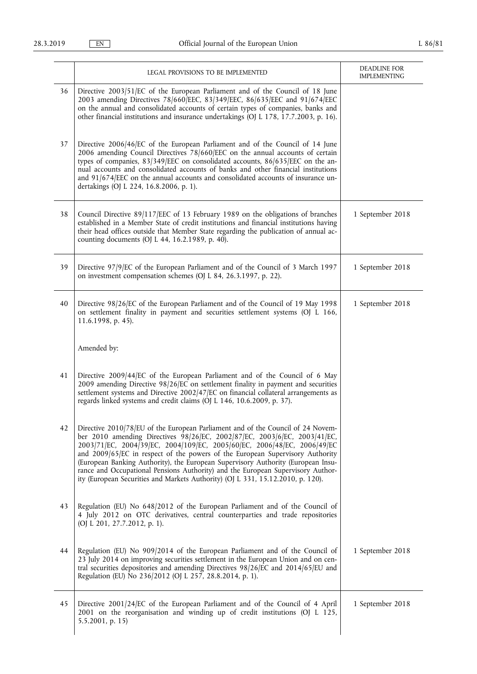|    | LEGAL PROVISIONS TO BE IMPLEMENTED                                                                                                                                                                                                                                                                                                                                                                                                                                                                                                                                                 | <b>DEADLINE FOR</b><br><b>IMPLEMENTING</b> |
|----|------------------------------------------------------------------------------------------------------------------------------------------------------------------------------------------------------------------------------------------------------------------------------------------------------------------------------------------------------------------------------------------------------------------------------------------------------------------------------------------------------------------------------------------------------------------------------------|--------------------------------------------|
| 36 | Directive 2003/51/EC of the European Parliament and of the Council of 18 June<br>2003 amending Directives 78/660/EEC, 83/349/EEC, 86/635/EEC and 91/674/EEC<br>on the annual and consolidated accounts of certain types of companies, banks and<br>other financial institutions and insurance undertakings (OJ L 178, 17.7.2003, p. 16).                                                                                                                                                                                                                                           |                                            |
| 37 | Directive 2006/46/EC of the European Parliament and of the Council of 14 June<br>2006 amending Council Directives 78/660/EEC on the annual accounts of certain<br>types of companies, 83/349/EEC on consolidated accounts, 86/635/EEC on the an-<br>nual accounts and consolidated accounts of banks and other financial institutions<br>and 91/674/EEC on the annual accounts and consolidated accounts of insurance un-<br>dertakings (OJ L 224, 16.8.2006, p. 1).                                                                                                               |                                            |
| 38 | Council Directive 89/117/EEC of 13 February 1989 on the obligations of branches<br>established in a Member State of credit institutions and financial institutions having<br>their head offices outside that Member State regarding the publication of annual ac-<br>counting documents (OJ L 44, 16.2.1989, p. 40).                                                                                                                                                                                                                                                               | 1 September 2018                           |
| 39 | Directive 97/9/EC of the European Parliament and of the Council of 3 March 1997<br>on investment compensation schemes (OJ L 84, 26.3.1997, p. 22).                                                                                                                                                                                                                                                                                                                                                                                                                                 | 1 September 2018                           |
| 40 | Directive 98/26/EC of the European Parliament and of the Council of 19 May 1998<br>on settlement finality in payment and securities settlement systems (OJ L 166,<br>11.6.1998, p. 45).                                                                                                                                                                                                                                                                                                                                                                                            | 1 September 2018                           |
|    | Amended by:                                                                                                                                                                                                                                                                                                                                                                                                                                                                                                                                                                        |                                            |
| 41 | Directive 2009/44/EC of the European Parliament and of the Council of 6 May<br>2009 amending Directive 98/26/EC on settlement finality in payment and securities<br>settlement systems and Directive 2002/47/EC on financial collateral arrangements as<br>regards linked systems and credit claims (OJ L 146, 10.6.2009, p. 37).                                                                                                                                                                                                                                                  |                                            |
| 42 | Directive 2010/78/EU of the European Parliament and of the Council of 24 Novem-<br>ber 2010 amending Directives 98/26/EC, 2002/87/EC, 2003/6/EC, 2003/41/EC,<br>2003/71/EC, 2004/39/EC, 2004/109/EC, 2005/60/EC, 2006/48/EC, 2006/49/EC<br>and 2009/65/EC in respect of the powers of the European Supervisory Authority<br>(European Banking Authority), the European Supervisory Authority (European Insu-<br>rance and Occupational Pensions Authority) and the European Supervisory Author-<br>ity (European Securities and Markets Authority) (OJ L 331, 15.12.2010, p. 120). |                                            |
| 43 | Regulation (EU) No 648/2012 of the European Parliament and of the Council of<br>4 July 2012 on OTC derivatives, central counterparties and trade repositories<br>(OJ L 201, 27.7.2012, p. 1).                                                                                                                                                                                                                                                                                                                                                                                      |                                            |
| 44 | Regulation (EU) No 909/2014 of the European Parliament and of the Council of<br>23 July 2014 on improving securities settlement in the European Union and on cen-<br>tral securities depositories and amending Directives 98/26/EC and 2014/65/EU and<br>Regulation (EU) No 236/2012 (OJ L 257, 28.8.2014, p. 1).                                                                                                                                                                                                                                                                  | 1 September 2018                           |
| 45 | Directive 2001/24/EC of the European Parliament and of the Council of 4 April<br>2001 on the reorganisation and winding up of credit institutions (OJ L 125,<br>5.5.2001, p. 15)                                                                                                                                                                                                                                                                                                                                                                                                   | 1 September 2018                           |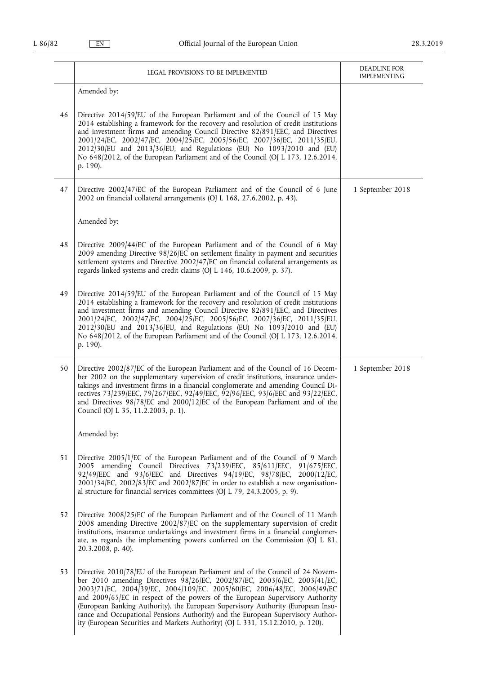|    | LEGAL PROVISIONS TO BE IMPLEMENTED                                                                                                                                                                                                                                                                                                                                                                                                                                                                                                                                                 | DEADLINE FOR<br><b>IMPLEMENTING</b> |
|----|------------------------------------------------------------------------------------------------------------------------------------------------------------------------------------------------------------------------------------------------------------------------------------------------------------------------------------------------------------------------------------------------------------------------------------------------------------------------------------------------------------------------------------------------------------------------------------|-------------------------------------|
|    | Amended by:                                                                                                                                                                                                                                                                                                                                                                                                                                                                                                                                                                        |                                     |
| 46 | Directive 2014/59/EU of the European Parliament and of the Council of 15 May<br>2014 establishing a framework for the recovery and resolution of credit institutions<br>and investment firms and amending Council Directive 82/891/EEC, and Directives<br>2001/24/EC, 2002/47/EC, 2004/25/EC, 2005/56/EC, 2007/36/EC, 2011/35/EU,<br>2012/30/EU and 2013/36/EU, and Regulations (EU) No 1093/2010 and (EU)<br>No 648/2012, of the European Parliament and of the Council (OJ L 173, 12.6.2014,<br>p. 190).                                                                         |                                     |
| 47 | Directive 2002/47/EC of the European Parliament and of the Council of 6 June<br>2002 on financial collateral arrangements (OJ L 168, 27.6.2002, p. 43).                                                                                                                                                                                                                                                                                                                                                                                                                            | 1 September 2018                    |
|    | Amended by:                                                                                                                                                                                                                                                                                                                                                                                                                                                                                                                                                                        |                                     |
| 48 | Directive 2009/44/EC of the European Parliament and of the Council of 6 May<br>2009 amending Directive $98/26$ /EC on settlement finality in payment and securities<br>settlement systems and Directive 2002/47/EC on financial collateral arrangements as<br>regards linked systems and credit claims (OJ L 146, 10.6.2009, p. 37).                                                                                                                                                                                                                                               |                                     |
| 49 | Directive 2014/59/EU of the European Parliament and of the Council of 15 May<br>2014 establishing a framework for the recovery and resolution of credit institutions<br>and investment firms and amending Council Directive 82/891/EEC, and Directives<br>2001/24/EC, 2002/47/EC, 2004/25/EC, 2005/56/EC, 2007/36/EC, 2011/35/EU,<br>2012/30/EU and 2013/36/EU, and Regulations (EU) No 1093/2010 and (EU)<br>No 648/2012, of the European Parliament and of the Council (OJ L 173, 12.6.2014,<br>p. 190).                                                                         |                                     |
| 50 | Directive 2002/87/EC of the European Parliament and of the Council of 16 Decem-<br>ber 2002 on the supplementary supervision of credit institutions, insurance under-<br>takings and investment firms in a financial conglomerate and amending Council Di-<br>rectives 73/239/EEC, 79/267/EEC, 92/49/EEC, 92/96/EEC, 93/6/EEC and 93/22/EEC,<br>and Directives 98/78/EC and 2000/12/EC of the European Parliament and of the<br>Council (OJ L 35, 11.2.2003, p. 1).                                                                                                                | 1 September 2018                    |
|    | Amended by:                                                                                                                                                                                                                                                                                                                                                                                                                                                                                                                                                                        |                                     |
| 51 | Directive 2005/1/EC of the European Parliament and of the Council of 9 March<br>2005 amending Council Directives 73/239/EEC, 85/611/EEC, 91/675/EEC,<br>92/49/EEC and 93/6/EEC and Directives 94/19/EC, 98/78/EC, 2000/12/EC,<br>$2001/34$ [EC, $2002/83$ [EC and $2002/87$ [EC in order to establish a new organisation-<br>al structure for financial services committees (OJ L 79, 24.3.2005, p. 9).                                                                                                                                                                            |                                     |
| 52 | Directive 2008/25/EC of the European Parliament and of the Council of 11 March<br>2008 amending Directive 2002/87/EC on the supplementary supervision of credit<br>institutions, insurance undertakings and investment firms in a financial conglomer-<br>ate, as regards the implementing powers conferred on the Commission (OJ L 81,<br>20.3.2008, p. 40).                                                                                                                                                                                                                      |                                     |
| 53 | Directive 2010/78/EU of the European Parliament and of the Council of 24 Novem-<br>ber 2010 amending Directives 98/26/EC, 2002/87/EC, 2003/6/EC, 2003/41/EC,<br>2003/71/EC, 2004/39/EC, 2004/109/EC, 2005/60/EC, 2006/48/EC, 2006/49/EC<br>and 2009/65/EC in respect of the powers of the European Supervisory Authority<br>(European Banking Authority), the European Supervisory Authority (European Insu-<br>rance and Occupational Pensions Authority) and the European Supervisory Author-<br>ity (European Securities and Markets Authority) (OJ L 331, 15.12.2010, p. 120). |                                     |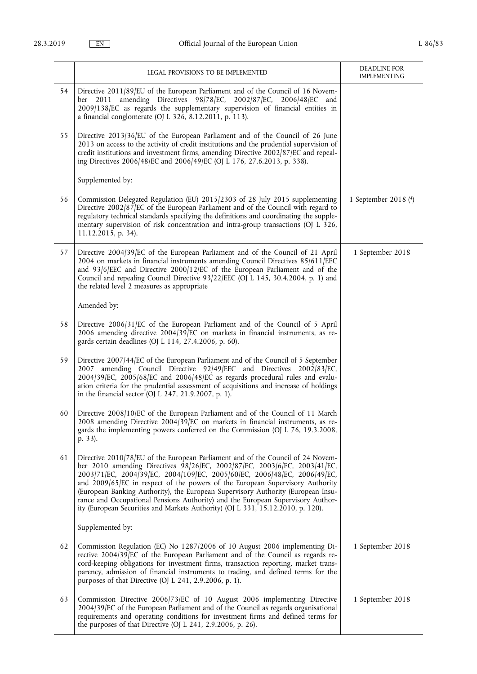|    | LEGAL PROVISIONS TO BE IMPLEMENTED                                                                                                                                                                                                                                                                                                                                                                                                                                                                                                                                                  | DEADLINE FOR<br><b>IMPLEMENTING</b> |
|----|-------------------------------------------------------------------------------------------------------------------------------------------------------------------------------------------------------------------------------------------------------------------------------------------------------------------------------------------------------------------------------------------------------------------------------------------------------------------------------------------------------------------------------------------------------------------------------------|-------------------------------------|
| 54 | Directive 2011/89/EU of the European Parliament and of the Council of 16 Novem-<br>amending Directives 98/78/EC, 2002/87/EC, 2006/48/EC and<br>ber 2011<br>2009/138/EC as regards the supplementary supervision of financial entities in<br>a financial conglomerate (OJ L 326, 8.12.2011, p. 113).                                                                                                                                                                                                                                                                                 |                                     |
| 55 | Directive 2013/36/EU of the European Parliament and of the Council of 26 June<br>2013 on access to the activity of credit institutions and the prudential supervision of<br>credit institutions and investment firms, amending Directive 2002/87/EC and repeal-<br>ing Directives 2006/48/EC and 2006/49/EC (OJ L 176, 27.6.2013, p. 338).                                                                                                                                                                                                                                          |                                     |
|    | Supplemented by:                                                                                                                                                                                                                                                                                                                                                                                                                                                                                                                                                                    |                                     |
| 56 | Commission Delegated Regulation (EU) 2015/2303 of 28 July 2015 supplementing<br>Directive 2002/87/EC of the European Parliament and of the Council with regard to<br>regulatory technical standards specifying the definitions and coordinating the supple-<br>mentary supervision of risk concentration and intra-group transactions (OJ L 326,<br>11.12.2015, p. 34).                                                                                                                                                                                                             | 1 September 2018 (4)                |
| 57 | Directive 2004/39/EC of the European Parliament and of the Council of 21 April<br>2004 on markets in financial instruments amending Council Directives 85/611/EEC<br>and 93/6/EEC and Directive 2000/12/EC of the European Parliament and of the<br>Council and repealing Council Directive 93/22/EEC (OJ L 145, 30.4.2004, p. 1) and<br>the related level 2 measures as appropriate                                                                                                                                                                                                | 1 September 2018                    |
|    | Amended by:                                                                                                                                                                                                                                                                                                                                                                                                                                                                                                                                                                         |                                     |
| 58 | Directive 2006/31/EC of the European Parliament and of the Council of 5 April<br>2006 amending directive 2004/39/EC on markets in financial instruments, as re-<br>gards certain deadlines (OJ L 114, 27.4.2006, p. 60).                                                                                                                                                                                                                                                                                                                                                            |                                     |
| 59 | Directive 2007/44/EC of the European Parliament and of the Council of 5 September<br>2007 amending Council Directive 92/49/EEC and Directives 2002/83/EC,<br>2004/39/EC, 2005/68/EC and 2006/48/EC as regards procedural rules and evalu-<br>ation criteria for the prudential assessment of acquisitions and increase of holdings<br>in the financial sector (OJ L 247, 21.9.2007, p. 1).                                                                                                                                                                                          |                                     |
| 60 | Directive 2008/10/EC of the European Parliament and of the Council of 11 March<br>2008 amending Directive 2004/39/EC on markets in financial instruments, as re-<br>gards the implementing powers conferred on the Commission (OJ L 76, 19.3.2008,<br>p. 33).                                                                                                                                                                                                                                                                                                                       |                                     |
| 61 | Directive 2010/78/EU of the European Parliament and of the Council of 24 Novem-<br>ber 2010 amending Directives 98/26/EC, 2002/87/EC, 2003/6/EC, 2003/41/EC,<br>2003/71/EC, 2004/39/EC, 2004/109/EC, 2005/60/EC, 2006/48/EC, 2006/49/EC,<br>and 2009/65/EC in respect of the powers of the European Supervisory Authority<br>(European Banking Authority), the European Supervisory Authority (European Insu-<br>rance and Occupational Pensions Authority) and the European Supervisory Author-<br>ity (European Securities and Markets Authority) (OJ L 331, 15.12.2010, p. 120). |                                     |
|    | Supplemented by:                                                                                                                                                                                                                                                                                                                                                                                                                                                                                                                                                                    |                                     |
| 62 | Commission Regulation (EC) No 1287/2006 of 10 August 2006 implementing Di-<br>rective 2004/39/EC of the European Parliament and of the Council as regards re-<br>cord-keeping obligations for investment firms, transaction reporting, market trans-<br>parency, admission of financial instruments to trading, and defined terms for the<br>purposes of that Directive (OJ L 241, 2.9.2006, p. 1).                                                                                                                                                                                 | 1 September 2018                    |
| 63 | Commission Directive 2006/73/EC of 10 August 2006 implementing Directive<br>2004/39/EC of the European Parliament and of the Council as regards organisational<br>requirements and operating conditions for investment firms and defined terms for<br>the purposes of that Directive (OJ L 241, 2.9.2006, p. 26).                                                                                                                                                                                                                                                                   | 1 September 2018                    |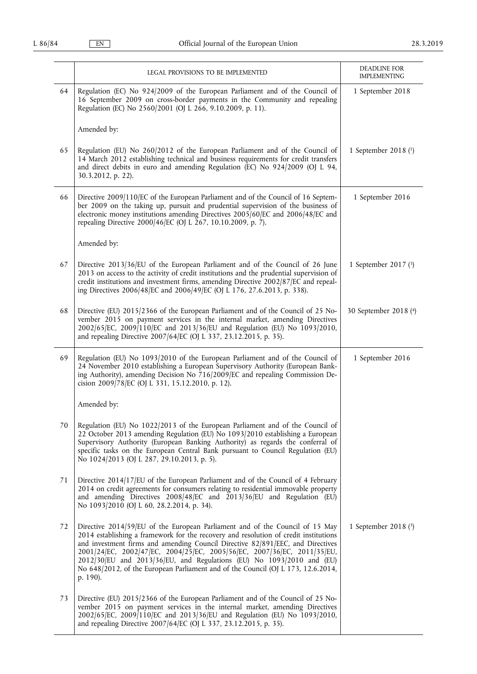|        | LEGAL PROVISIONS TO BE IMPLEMENTED                                                                                                                                                                                                                                                                                                                                                                                                                                                                         | DEADLINE FOR<br><b>IMPLEMENTING</b> |
|--------|------------------------------------------------------------------------------------------------------------------------------------------------------------------------------------------------------------------------------------------------------------------------------------------------------------------------------------------------------------------------------------------------------------------------------------------------------------------------------------------------------------|-------------------------------------|
| 64     | Regulation (EC) No 924/2009 of the European Parliament and of the Council of<br>16 September 2009 on cross-border payments in the Community and repealing<br>Regulation (EC) No 2560/2001 (OJ L 266, 9.10.2009, p. 11).                                                                                                                                                                                                                                                                                    | 1 September 2018                    |
|        | Amended by:                                                                                                                                                                                                                                                                                                                                                                                                                                                                                                |                                     |
| 65     | Regulation (EU) No 260/2012 of the European Parliament and of the Council of<br>14 March 2012 establishing technical and business requirements for credit transfers<br>and direct debits in euro and amending Regulation (EC) No 924/2009 (OJ L 94,<br>30.3.2012, p. 22).                                                                                                                                                                                                                                  | 1 September 2018 (1)                |
| 66     | Directive 2009/110/EC of the European Parliament and of the Council of 16 Septem-<br>ber 2009 on the taking up, pursuit and prudential supervision of the business of<br>electronic money institutions amending Directives 2005/60/EC and 2006/48/EC and<br>repealing Directive 2000/46/EC (OJ L 267, 10.10.2009, p. 7).                                                                                                                                                                                   | 1 September 2016                    |
|        | Amended by:                                                                                                                                                                                                                                                                                                                                                                                                                                                                                                |                                     |
| 67     | Directive 2013/36/EU of the European Parliament and of the Council of 26 June<br>2013 on access to the activity of credit institutions and the prudential supervision of<br>credit institutions and investment firms, amending Directive 2002/87/EC and repeal-<br>ing Directives 2006/48/EC and 2006/49/EC (OJ L 176, 27.6.2013, p. 338).                                                                                                                                                                 | 1 September 2017 (3)                |
| 68     | Directive (EU) 2015/2366 of the European Parliament and of the Council of 25 No-<br>vember 2015 on payment services in the internal market, amending Directives<br>2002/65/EC, 2009/110/EC and 2013/36/EU and Regulation (EU) No 1093/2010,<br>and repealing Directive 2007/64/EC (OJ L 337, 23.12.2015, p. 35).                                                                                                                                                                                           | 30 September 2018 (4)               |
| 69     | Regulation (EU) No 1093/2010 of the European Parliament and of the Council of<br>24 November 2010 establishing a European Supervisory Authority (European Bank-<br>ing Authority), amending Decision No 716/2009/EC and repealing Commission De-<br>cision 2009/78/EC (OJ L 331, 15.12.2010, p. 12).                                                                                                                                                                                                       | 1 September 2016                    |
|        | Amended by:                                                                                                                                                                                                                                                                                                                                                                                                                                                                                                |                                     |
| $70\,$ | Regulation (EU) No 1022/2013 of the European Parliament and of the Council of<br>22 October 2013 amending Regulation (EU) No 1093/2010 establishing a European<br>Supervisory Authority (European Banking Authority) as regards the conferral of<br>specific tasks on the European Central Bank pursuant to Council Regulation (EU)<br>No 1024/2013 (OJ L 287, 29.10.2013, p. 5).                                                                                                                          |                                     |
| 71     | Directive 2014/17/EU of the European Parliament and of the Council of 4 February<br>2014 on credit agreements for consumers relating to residential immovable property<br>and amending Directives 2008/48/EC and 2013/36/EU and Regulation (EU)<br>No 1093/2010 (OJ L 60, 28.2.2014, p. 34).                                                                                                                                                                                                               |                                     |
| 72     | Directive 2014/59/EU of the European Parliament and of the Council of 15 May<br>2014 establishing a framework for the recovery and resolution of credit institutions<br>and investment firms and amending Council Directive 82/891/EEC, and Directives<br>2001/24/EC, 2002/47/EC, 2004/25/EC, 2005/56/EC, 2007/36/EC, 2011/35/EU,<br>2012/30/EU and 2013/36/EU, and Regulations (EU) No 1093/2010 and (EU)<br>No 648/2012, of the European Parliament and of the Council (OJ L 173, 12.6.2014,<br>p. 190). | 1 September 2018 (3)                |
| 73     | Directive (EU) 2015/2366 of the European Parliament and of the Council of 25 No-<br>vember 2015 on payment services in the internal market, amending Directives<br>2002/65/EC, 2009/110/EC and 2013/36/EU and Regulation (EU) No 1093/2010,<br>and repealing Directive 2007/64/EC (OJ L 337, 23.12.2015, p. 35).                                                                                                                                                                                           |                                     |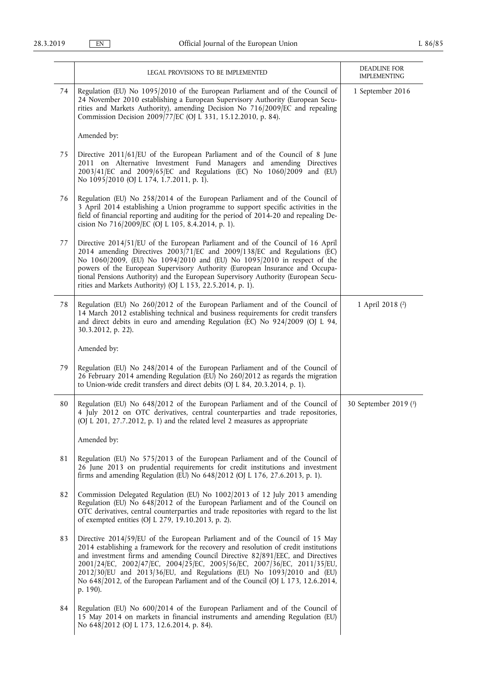|    | LEGAL PROVISIONS TO BE IMPLEMENTED                                                                                                                                                                                                                                                                                                                                                                                                                                                                         | DEADLINE FOR<br><b>IMPLEMENTING</b> |
|----|------------------------------------------------------------------------------------------------------------------------------------------------------------------------------------------------------------------------------------------------------------------------------------------------------------------------------------------------------------------------------------------------------------------------------------------------------------------------------------------------------------|-------------------------------------|
| 74 | Regulation (EU) No 1095/2010 of the European Parliament and of the Council of<br>24 November 2010 establishing a European Supervisory Authority (European Secu-<br>rities and Markets Authority), amending Decision No 716/2009/EC and repealing<br>Commission Decision 2009/77/EC (OJ L 331, 15.12.2010, p. 84).                                                                                                                                                                                          | 1 September 2016                    |
|    | Amended by:                                                                                                                                                                                                                                                                                                                                                                                                                                                                                                |                                     |
| 75 | Directive 2011/61/EU of the European Parliament and of the Council of 8 June<br>2011 on Alternative Investment Fund Managers and amending Directives<br>2003/41/EC and 2009/65/EC and Regulations (EC) No 1060/2009 and (EU)<br>No 1095/2010 (OJ L 174, 1.7.2011, p. 1).                                                                                                                                                                                                                                   |                                     |
| 76 | Regulation (EU) No 258/2014 of the European Parliament and of the Council of<br>3 April 2014 establishing a Union programme to support specific activities in the<br>field of financial reporting and auditing for the period of 2014-20 and repealing De-<br>cision No 716/2009/EC (OJ L 105, 8.4.2014, p. 1).                                                                                                                                                                                            |                                     |
| 77 | Directive 2014/51/EU of the European Parliament and of the Council of 16 April<br>2014 amending Directives 2003/71/EC and 2009/138/EC and Regulations (EC)<br>No 1060/2009, (EU) No 1094/2010 and (EU) No 1095/2010 in respect of the<br>powers of the European Supervisory Authority (European Insurance and Occupa-<br>tional Pensions Authority) and the European Supervisory Authority (European Secu-<br>rities and Markets Authority) (OJ L 153, 22.5.2014, p. 1).                                   |                                     |
| 78 | Regulation (EU) No 260/2012 of the European Parliament and of the Council of<br>14 March 2012 establishing technical and business requirements for credit transfers<br>and direct debits in euro and amending Regulation (EC) No 924/2009 (OJ L 94,<br>30.3.2012, p. 22).                                                                                                                                                                                                                                  | 1 April 2018 (2)                    |
|    | Amended by:                                                                                                                                                                                                                                                                                                                                                                                                                                                                                                |                                     |
| 79 | Regulation (EU) No 248/2014 of the European Parliament and of the Council of<br>26 February 2014 amending Regulation (EU) No 260/2012 as regards the migration<br>to Union-wide credit transfers and direct debits (OJ L 84, 20.3.2014, p. 1).                                                                                                                                                                                                                                                             |                                     |
| 80 | Regulation (EU) No 648/2012 of the European Parliament and of the Council of<br>4 July 2012 on OTC derivatives, central counterparties and trade repositories,<br>(OJ L 201, 27.7.2012, p. 1) and the related level 2 measures as appropriate                                                                                                                                                                                                                                                              | 30 September 2019 (3)               |
|    | Amended by:                                                                                                                                                                                                                                                                                                                                                                                                                                                                                                |                                     |
| 81 | Regulation (EU) No 575/2013 of the European Parliament and of the Council of<br>26 June 2013 on prudential requirements for credit institutions and investment<br>firms and amending Regulation (EU) No 648/2012 (OJ L 176, 27.6.2013, p. 1).                                                                                                                                                                                                                                                              |                                     |
| 82 | Commission Delegated Regulation (EU) No 1002/2013 of 12 July 2013 amending<br>Regulation (EU) No 648/2012 of the European Parliament and of the Council on<br>OTC derivatives, central counterparties and trade repositories with regard to the list<br>of exempted entities (OJ L 279, 19.10.2013, p. 2).                                                                                                                                                                                                 |                                     |
| 83 | Directive 2014/59/EU of the European Parliament and of the Council of 15 May<br>2014 establishing a framework for the recovery and resolution of credit institutions<br>and investment firms and amending Council Directive 82/891/EEC, and Directives<br>2001/24/EC, 2002/47/EC, 2004/25/EC, 2005/56/EC, 2007/36/EC, 2011/35/EU,<br>2012/30/EU and 2013/36/EU, and Regulations (EU) No 1093/2010 and (EU)<br>No 648/2012, of the European Parliament and of the Council (OJ L 173, 12.6.2014,<br>p. 190). |                                     |
| 84 | Regulation (EU) No 600/2014 of the European Parliament and of the Council of<br>15 May 2014 on markets in financial instruments and amending Regulation (EU)<br>No 648/2012 (OJ L 173, 12.6.2014, p. 84).                                                                                                                                                                                                                                                                                                  |                                     |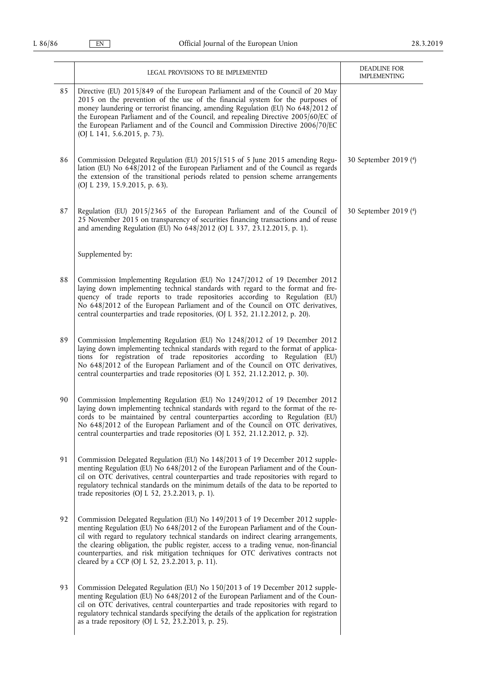|    | LEGAL PROVISIONS TO BE IMPLEMENTED                                                                                                                                                                                                                                                                                                                                                                                                                                                     | DEADLINE FOR<br><b>IMPLEMENTING</b> |
|----|----------------------------------------------------------------------------------------------------------------------------------------------------------------------------------------------------------------------------------------------------------------------------------------------------------------------------------------------------------------------------------------------------------------------------------------------------------------------------------------|-------------------------------------|
| 85 | Directive (EU) 2015/849 of the European Parliament and of the Council of 20 May<br>2015 on the prevention of the use of the financial system for the purposes of<br>money laundering or terrorist financing, amending Regulation (EU) No 648/2012 of<br>the European Parliament and of the Council, and repealing Directive 2005/60/EC of<br>the European Parliament and of the Council and Commission Directive 2006/70/EC<br>(OJ L 141, 5.6.2015, p. 73).                            |                                     |
| 86 | Commission Delegated Regulation (EU) 2015/1515 of 5 June 2015 amending Regu-<br>lation (EU) No 648/2012 of the European Parliament and of the Council as regards<br>the extension of the transitional periods related to pension scheme arrangements<br>(OJ L 239, 15.9.2015, p. 63).                                                                                                                                                                                                  | 30 September 2019 (4)               |
| 87 | Regulation (EU) 2015/2365 of the European Parliament and of the Council of<br>25 November 2015 on transparency of securities financing transactions and of reuse<br>and amending Regulation (EU) No 648/2012 (OJ L 337, 23.12.2015, p. 1).                                                                                                                                                                                                                                             | 30 September 2019 (4)               |
|    | Supplemented by:                                                                                                                                                                                                                                                                                                                                                                                                                                                                       |                                     |
| 88 | Commission Implementing Regulation (EU) No 1247/2012 of 19 December 2012<br>laying down implementing technical standards with regard to the format and fre-<br>quency of trade reports to trade repositories according to Regulation (EU)<br>No 648/2012 of the European Parliament and of the Council on OTC derivatives,<br>central counterparties and trade repositories, (OJ L 352, 21.12.2012, p. 20).                                                                            |                                     |
| 89 | Commission Implementing Regulation (EU) No 1248/2012 of 19 December 2012<br>laying down implementing technical standards with regard to the format of applica-<br>tions for registration of trade repositories according to Regulation (EU)<br>No 648/2012 of the European Parliament and of the Council on OTC derivatives,<br>central counterparties and trade repositories (OJ L 352, 21.12.2012, p. 30).                                                                           |                                     |
| 90 | Commission Implementing Regulation (EU) No 1249/2012 of 19 December 2012<br>laying down implementing technical standards with regard to the format of the re-<br>cords to be maintained by central counterparties according to Regulation (EU)<br>No 648/2012 of the European Parliament and of the Council on OTC derivatives,<br>central counterparties and trade repositories (OJ L 352, 21.12.2012, p. 32).                                                                        |                                     |
| 91 | Commission Delegated Regulation (EU) No 148/2013 of 19 December 2012 supple-<br>menting Regulation (EU) No 648/2012 of the European Parliament and of the Coun-<br>cil on OTC derivatives, central counterparties and trade repositories with regard to<br>regulatory technical standards on the minimum details of the data to be reported to<br>trade repositories (OJ L 52, 23.2.2013, p. 1).                                                                                       |                                     |
| 92 | Commission Delegated Regulation (EU) No 149/2013 of 19 December 2012 supple-<br>menting Regulation (EU) No 648/2012 of the European Parliament and of the Coun-<br>cil with regard to regulatory technical standards on indirect clearing arrangements,<br>the clearing obligation, the public register, access to a trading venue, non-financial<br>counterparties, and risk mitigation techniques for OTC derivatives contracts not<br>cleared by a CCP (OJ L 52, 23.2.2013, p. 11). |                                     |
| 93 | Commission Delegated Regulation (EU) No 150/2013 of 19 December 2012 supple-<br>menting Regulation (EU) No 648/2012 of the European Parliament and of the Coun-<br>cil on OTC derivatives, central counterparties and trade repositories with regard to<br>regulatory technical standards specifying the details of the application for registration<br>as a trade repository (OJ L 52, 23.2.2013, p. 25).                                                                             |                                     |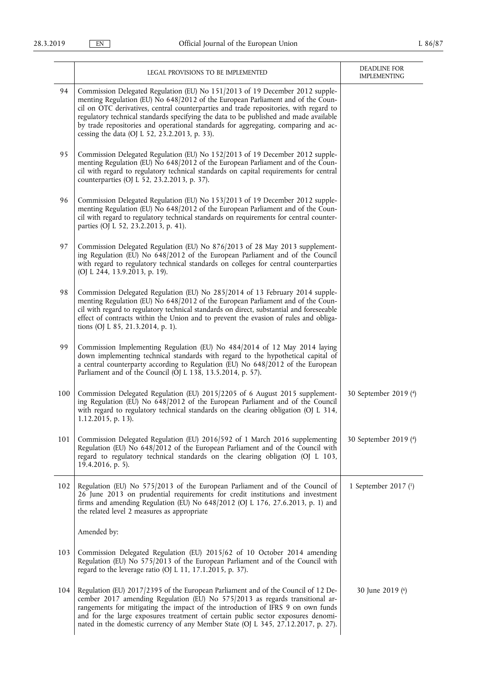|     | LEGAL PROVISIONS TO BE IMPLEMENTED                                                                                                                                                                                                                                                                                                                                                                                                                                                       | DEADLINE FOR<br><b>IMPLEMENTING</b> |
|-----|------------------------------------------------------------------------------------------------------------------------------------------------------------------------------------------------------------------------------------------------------------------------------------------------------------------------------------------------------------------------------------------------------------------------------------------------------------------------------------------|-------------------------------------|
| 94  | Commission Delegated Regulation (EU) No 151/2013 of 19 December 2012 supple-<br>menting Regulation (EU) No 648/2012 of the European Parliament and of the Coun-<br>cil on OTC derivatives, central counterparties and trade repositories, with regard to<br>regulatory technical standards specifying the data to be published and made available<br>by trade repositories and operational standards for aggregating, comparing and ac-<br>cessing the data (OJ L 52, 23.2.2013, p. 33). |                                     |
| 95  | Commission Delegated Regulation (EU) No 152/2013 of 19 December 2012 supple-<br>menting Regulation (EU) No 648/2012 of the European Parliament and of the Coun-<br>cil with regard to regulatory technical standards on capital requirements for central<br>counterparties (OJ L 52, 23.2.2013, p. 37).                                                                                                                                                                                  |                                     |
| 96  | Commission Delegated Regulation (EU) No 153/2013 of 19 December 2012 supple-<br>menting Regulation (EU) No 648/2012 of the European Parliament and of the Coun-<br>cil with regard to regulatory technical standards on requirements for central counter-<br>parties (OJ L 52, 23.2.2013, p. 41).                                                                                                                                                                                        |                                     |
| 97  | Commission Delegated Regulation (EU) No 876/2013 of 28 May 2013 supplement-<br>ing Regulation (EU) No 648/2012 of the European Parliament and of the Council<br>with regard to regulatory technical standards on colleges for central counterparties<br>(OJ L 244, 13.9.2013, p. 19).                                                                                                                                                                                                    |                                     |
| 98  | Commission Delegated Regulation (EU) No 285/2014 of 13 February 2014 supple-<br>menting Regulation (EU) No 648/2012 of the European Parliament and of the Coun-<br>cil with regard to regulatory technical standards on direct, substantial and foreseeable<br>effect of contracts within the Union and to prevent the evasion of rules and obliga-<br>tions (OJ L 85, 21.3.2014, p. 1).                                                                                                 |                                     |
| 99  | Commission Implementing Regulation (EU) No 484/2014 of 12 May 2014 laying<br>down implementing technical standards with regard to the hypothetical capital of<br>a central counterparty according to Regulation (EU) No 648/2012 of the European<br>Parliament and of the Council (OJ L 138, 13.5.2014, p. 57).                                                                                                                                                                          |                                     |
| 100 | Commission Delegated Regulation (EU) 2015/2205 of 6 August 2015 supplement-<br>ing Regulation (EU) No 648/2012 of the European Parliament and of the Council<br>with regard to regulatory technical standards on the clearing obligation (OJ L 314,<br>1.12.2015, p. 13).                                                                                                                                                                                                                | 30 September 2019 (4)               |
| 101 | Commission Delegated Regulation (EU) 2016/592 of 1 March 2016 supplementing<br>Regulation (EU) No 648/2012 of the European Parliament and of the Council with<br>regard to regulatory technical standards on the clearing obligation (OJ L 103,<br>19.4.2016, p. 5).                                                                                                                                                                                                                     | 30 September 2019 (4)               |
| 102 | Regulation (EU) No 575/2013 of the European Parliament and of the Council of<br>26 June 2013 on prudential requirements for credit institutions and investment<br>firms and amending Regulation (EU) No 648/2012 (OJ L 176, 27.6.2013, p. 1) and<br>the related level 2 measures as appropriate                                                                                                                                                                                          | 1 September 2017 (1)                |
|     | Amended by:                                                                                                                                                                                                                                                                                                                                                                                                                                                                              |                                     |
| 103 | Commission Delegated Regulation (EU) 2015/62 of 10 October 2014 amending<br>Regulation (EU) No 575/2013 of the European Parliament and of the Council with<br>regard to the leverage ratio (OJ L 11, 17.1.2015, p. 37).                                                                                                                                                                                                                                                                  |                                     |
| 104 | Regulation (EU) 2017/2395 of the European Parliament and of the Council of 12 De-<br>cember 2017 amending Regulation (EU) No 575/2013 as regards transitional ar-<br>rangements for mitigating the impact of the introduction of IFRS 9 on own funds<br>and for the large exposures treatment of certain public sector exposures denomi-<br>nated in the domestic currency of any Member State (OJ L 345, 27.12.2017, p. 27).                                                            | 30 June 2019 (6)                    |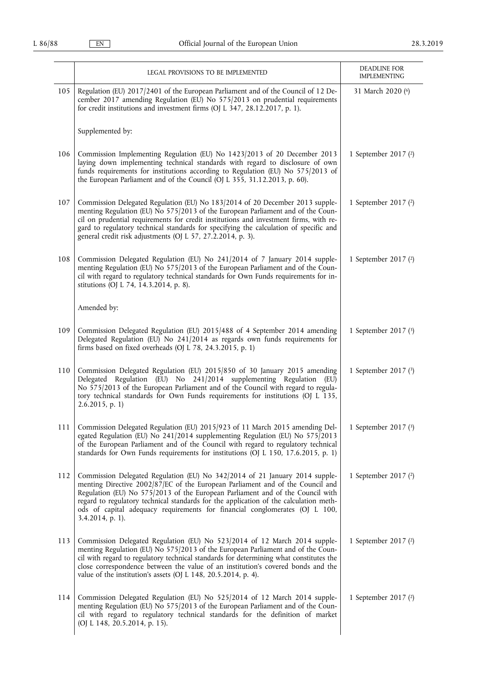|     | LEGAL PROVISIONS TO BE IMPLEMENTED                                                                                                                                                                                                                                                                                                                                                                                                          | <b>DEADLINE FOR</b>                      |
|-----|---------------------------------------------------------------------------------------------------------------------------------------------------------------------------------------------------------------------------------------------------------------------------------------------------------------------------------------------------------------------------------------------------------------------------------------------|------------------------------------------|
| 105 | Regulation (EU) 2017/2401 of the European Parliament and of the Council of 12 De-<br>cember 2017 amending Regulation (EU) No 575/2013 on prudential requirements<br>for credit institutions and investment firms (OJ L 347, 28.12.2017, p. 1).                                                                                                                                                                                              | <b>IMPLEMENTING</b><br>31 March 2020 (6) |
|     | Supplemented by:                                                                                                                                                                                                                                                                                                                                                                                                                            |                                          |
| 106 | Commission Implementing Regulation (EU) No 1423/2013 of 20 December 2013<br>laying down implementing technical standards with regard to disclosure of own<br>funds requirements for institutions according to Regulation (EU) No 575/2013 of<br>the European Parliament and of the Council (OJ L 355, 31.12.2013, p. 60).                                                                                                                   | 1 September 2017 (2)                     |
| 107 | Commission Delegated Regulation (EU) No 183/2014 of 20 December 2013 supple-<br>menting Regulation (EU) No 575/2013 of the European Parliament and of the Coun-<br>cil on prudential requirements for credit institutions and investment firms, with re-<br>gard to regulatory technical standards for specifying the calculation of specific and<br>general credit risk adjustments (OJ L 57, 27.2.2014, p. 3).                            | 1 September 2017 (2)                     |
| 108 | Commission Delegated Regulation (EU) No 241/2014 of 7 January 2014 supple-<br>menting Regulation (EU) No 575/2013 of the European Parliament and of the Coun-<br>cil with regard to regulatory technical standards for Own Funds requirements for in-<br>stitutions (OJ L 74, 14.3.2014, p. 8).                                                                                                                                             | 1 September 2017 (2)                     |
|     | Amended by:                                                                                                                                                                                                                                                                                                                                                                                                                                 |                                          |
| 109 | Commission Delegated Regulation (EU) 2015/488 of 4 September 2014 amending<br>Delegated Regulation (EU) No 241/2014 as regards own funds requirements for<br>firms based on fixed overheads (OJ L 78, 24.3.2015, p. 1)                                                                                                                                                                                                                      | 1 September 2017 (3)                     |
| 110 | Commission Delegated Regulation (EU) 2015/850 of 30 January 2015 amending<br>Delegated Regulation (EU) No 241/2014 supplementing Regulation (EU)<br>No 575/2013 of the European Parliament and of the Council with regard to regula-<br>tory technical standards for Own Funds requirements for institutions (OJ L 135,<br>$2.6.2015$ , p. 1)                                                                                               | 1 September 2017 (3)                     |
| 111 | Commission Delegated Regulation (EU) 2015/923 of 11 March 2015 amending Del-<br>egated Regulation (EU) No 241/2014 supplementing Regulation (EU) No 575/2013<br>of the European Parliament and of the Council with regard to regulatory technical<br>standards for Own Funds requirements for institutions (OJ L 150, 17.6.2015, p. 1)                                                                                                      | 1 September 2017 (3)                     |
| 112 | Commission Delegated Regulation (EU) No 342/2014 of 21 January 2014 supple-<br>menting Directive 2002/87/EC of the European Parliament and of the Council and<br>Regulation (EU) No 575/2013 of the European Parliament and of the Council with<br>regard to regulatory technical standards for the application of the calculation meth-<br>ods of capital adequacy requirements for financial conglomerates (OJ L 100,<br>3.4.2014, p. 1). | 1 September 2017 (2)                     |
| 113 | Commission Delegated Regulation (EU) No 523/2014 of 12 March 2014 supple-<br>menting Regulation (EU) No 575/2013 of the European Parliament and of the Coun-<br>cil with regard to regulatory technical standards for determining what constitutes the<br>close correspondence between the value of an institution's covered bonds and the<br>value of the institution's assets (OJ L 148, 20.5.2014, p. 4).                                | 1 September 2017 (2)                     |
| 114 | Commission Delegated Regulation (EU) No 525/2014 of 12 March 2014 supple-<br>menting Regulation (EU) No 575/2013 of the European Parliament and of the Coun-<br>cil with regard to regulatory technical standards for the definition of market<br>(OJ L 148, 20.5.2014, p. 15).                                                                                                                                                             | 1 September 2017 (2)                     |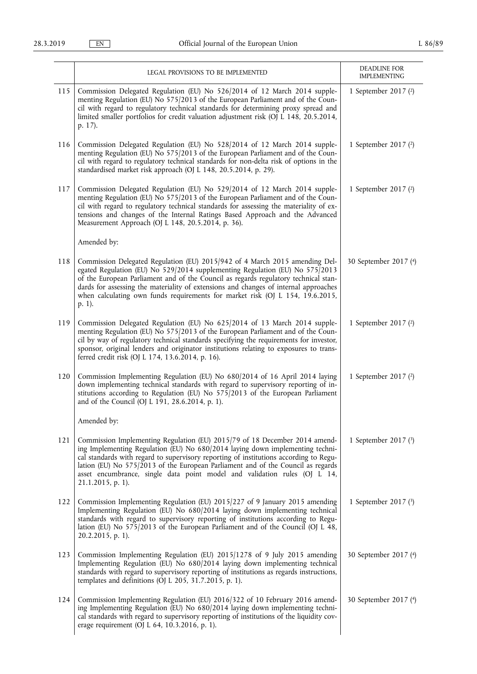|     | LEGAL PROVISIONS TO BE IMPLEMENTED                                                                                                                                                                                                                                                                                                                                                                                                         | DEADLINE FOR<br><b>IMPLEMENTING</b> |
|-----|--------------------------------------------------------------------------------------------------------------------------------------------------------------------------------------------------------------------------------------------------------------------------------------------------------------------------------------------------------------------------------------------------------------------------------------------|-------------------------------------|
| 115 | Commission Delegated Regulation (EU) No 526/2014 of 12 March 2014 supple-<br>menting Regulation (EU) No 575/2013 of the European Parliament and of the Coun-<br>cil with regard to regulatory technical standards for determining proxy spread and<br>limited smaller portfolios for credit valuation adjustment risk (OJ L 148, 20.5.2014,<br>p. 17).                                                                                     | 1 September 2017 (2)                |
| 116 | Commission Delegated Regulation (EU) No 528/2014 of 12 March 2014 supple-<br>menting Regulation (EU) No 575/2013 of the European Parliament and of the Coun-<br>cil with regard to regulatory technical standards for non-delta risk of options in the<br>standardised market risk approach (OJ L 148, 20.5.2014, p. 29).                                                                                                                  | 1 September 2017 (2)                |
| 117 | Commission Delegated Regulation (EU) No 529/2014 of 12 March 2014 supple-<br>menting Regulation (EU) No 575/2013 of the European Parliament and of the Coun-<br>cil with regard to regulatory technical standards for assessing the materiality of ex-<br>tensions and changes of the Internal Ratings Based Approach and the Advanced<br>Measurement Approach (OJ L 148, 20.5.2014, p. 36).                                               | 1 September 2017 $(2)$              |
|     | Amended by:                                                                                                                                                                                                                                                                                                                                                                                                                                |                                     |
| 118 | Commission Delegated Regulation (EU) 2015/942 of 4 March 2015 amending Del-<br>egated Regulation (EU) No 529/2014 supplementing Regulation (EU) No 575/2013<br>of the European Parliament and of the Council as regards regulatory technical stan-<br>dards for assessing the materiality of extensions and changes of internal approaches<br>when calculating own funds requirements for market risk (OJ L 154, 19.6.2015,<br>p. 1).      | 30 September 2017 (4)               |
| 119 | Commission Delegated Regulation (EU) No 625/2014 of 13 March 2014 supple-<br>menting Regulation (EU) No 575/2013 of the European Parliament and of the Coun-<br>cil by way of regulatory technical standards specifying the requirements for investor,<br>sponsor, original lenders and originator institutions relating to exposures to trans-<br>ferred credit risk (OJ L 174, 13.6.2014, p. 16).                                        | 1 September 2017 (2)                |
| 120 | Commission Implementing Regulation (EU) No 680/2014 of 16 April 2014 laying<br>down implementing technical standards with regard to supervisory reporting of in-<br>stitutions according to Regulation (EU) No 575/2013 of the European Parliament<br>and of the Council (OJ L 191, 28.6.2014, p. 1).                                                                                                                                      | 1 September 2017 (2)                |
|     | Amended by:                                                                                                                                                                                                                                                                                                                                                                                                                                |                                     |
| 121 | Commission Implementing Regulation (EU) 2015/79 of 18 December 2014 amend-<br>ing Implementing Regulation (EU) No 680/2014 laying down implementing techni-<br>cal standards with regard to supervisory reporting of institutions according to Regu-<br>lation (EU) No 575/2013 of the European Parliament and of the Council as regards<br>asset encumbrance, single data point model and validation rules (OJ L 14,<br>21.1.2015, p. 1). | 1 September 2017 (3)                |
| 122 | Commission Implementing Regulation (EU) 2015/227 of 9 January 2015 amending<br>Implementing Regulation (EU) No 680/2014 laying down implementing technical<br>standards with regard to supervisory reporting of institutions according to Regu-<br>lation (EU) No 575/2013 of the European Parliament and of the Council (OJ L 48,<br>20.2.2015, p. 1).                                                                                    | 1 September 2017 (3)                |
| 123 | Commission Implementing Regulation (EU) 2015/1278 of 9 July 2015 amending<br>Implementing Regulation (EU) No 680/2014 laying down implementing technical<br>standards with regard to supervisory reporting of institutions as regards instructions,<br>templates and definitions (OJ L 205, 31.7.2015, p. 1).                                                                                                                              | 30 September 2017 (4)               |
| 124 | Commission Implementing Regulation (EU) 2016/322 of 10 February 2016 amend-<br>ing Implementing Regulation (EU) No 680/2014 laying down implementing techni-<br>cal standards with regard to supervisory reporting of institutions of the liquidity cov-<br>erage requirement (OJ L 64, 10.3.2016, p. 1).                                                                                                                                  | 30 September 2017 (4)               |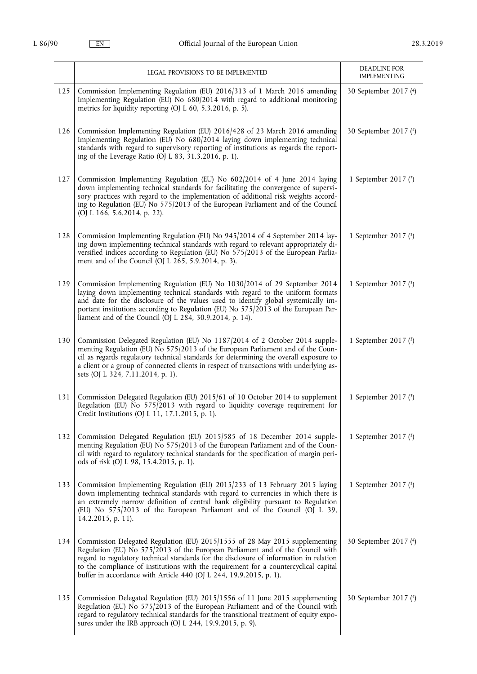|     | LEGAL PROVISIONS TO BE IMPLEMENTED                                                                                                                                                                                                                                                                                                                                                                                    | DEADLINE FOR<br><b>IMPLEMENTING</b> |
|-----|-----------------------------------------------------------------------------------------------------------------------------------------------------------------------------------------------------------------------------------------------------------------------------------------------------------------------------------------------------------------------------------------------------------------------|-------------------------------------|
| 125 | Commission Implementing Regulation (EU) 2016/313 of 1 March 2016 amending<br>Implementing Regulation (EU) No 680/2014 with regard to additional monitoring<br>metrics for liquidity reporting (OJ L 60, 5.3.2016, p. 5).                                                                                                                                                                                              | 30 September 2017 (4)               |
| 126 | Commission Implementing Regulation (EU) 2016/428 of 23 March 2016 amending<br>Implementing Regulation (EU) No 680/2014 laying down implementing technical<br>standards with regard to supervisory reporting of institutions as regards the report-<br>ing of the Leverage Ratio (OJ L 83, 31.3.2016, p. 1).                                                                                                           | 30 September 2017 (4)               |
| 127 | Commission Implementing Regulation (EU) No 602/2014 of 4 June 2014 laying<br>down implementing technical standards for facilitating the convergence of supervi-<br>sory practices with regard to the implementation of additional risk weights accord-<br>ing to Regulation (EU) No 575/2013 of the European Parliament and of the Council<br>(OJ L 166, 5.6.2014, p. 22).                                            | 1 September 2017 (2)                |
| 128 | Commission Implementing Regulation (EU) No 945/2014 of 4 September 2014 lay-<br>ing down implementing technical standards with regard to relevant appropriately di-<br>versified indices according to Regulation (EU) No 575/2013 of the European Parlia-<br>ment and of the Council (OJ L 265, 5.9.2014, p. 3).                                                                                                      | 1 September 2017 (3)                |
| 129 | Commission Implementing Regulation (EU) No 1030/2014 of 29 September 2014<br>laying down implementing technical standards with regard to the uniform formats<br>and date for the disclosure of the values used to identify global systemically im-<br>portant institutions according to Regulation (EU) No 575/2013 of the European Par-<br>liament and of the Council (OJ L 284, 30.9.2014, p. 14).                  | 1 September 2017 (3)                |
| 130 | Commission Delegated Regulation (EU) No 1187/2014 of 2 October 2014 supple-<br>menting Regulation (EU) No 575/2013 of the European Parliament and of the Coun-<br>cil as regards regulatory technical standards for determining the overall exposure to<br>a client or a group of connected clients in respect of transactions with underlying as-<br>sets (OJ L 324, 7.11.2014, p. 1).                               | 1 September 2017 (3)                |
| 131 | Commission Delegated Regulation (EU) 2015/61 of 10 October 2014 to supplement<br>Regulation (EU) No 575/2013 with regard to liquidity coverage requirement for<br>Credit Institutions (OJ L 11, 17.1.2015, p. 1).                                                                                                                                                                                                     | 1 September 2017 (3)                |
| 132 | Commission Delegated Regulation (EU) 2015/585 of 18 December 2014 supple-<br>menting Regulation (EU) No 575/2013 of the European Parliament and of the Coun-<br>cil with regard to regulatory technical standards for the specification of margin peri-<br>ods of risk (OJ L 98, 15.4.2015, p. 1).                                                                                                                    | 1 September 2017 (3)                |
| 133 | Commission Implementing Regulation (EU) 2015/233 of 13 February 2015 laying<br>down implementing technical standards with regard to currencies in which there is<br>an extremely narrow definition of central bank eligibility pursuant to Regulation<br>(EU) No 575/2013 of the European Parliament and of the Council (OJ L 39,<br>14.2.2015, p. 11).                                                               | 1 September 2017 (3)                |
| 134 | Commission Delegated Regulation (EU) 2015/1555 of 28 May 2015 supplementing<br>Regulation (EU) No 575/2013 of the European Parliament and of the Council with<br>regard to regulatory technical standards for the disclosure of information in relation<br>to the compliance of institutions with the requirement for a countercyclical capital<br>buffer in accordance with Article 440 (OJ L 244, 19.9.2015, p. 1). | 30 September 2017 (4)               |
| 135 | Commission Delegated Regulation (EU) 2015/1556 of 11 June 2015 supplementing<br>Regulation (EU) No 575/2013 of the European Parliament and of the Council with<br>regard to regulatory technical standards for the transitional treatment of equity expo-<br>sures under the IRB approach (OJ L 244, 19.9.2015, p. 9).                                                                                                | 30 September 2017 (4)               |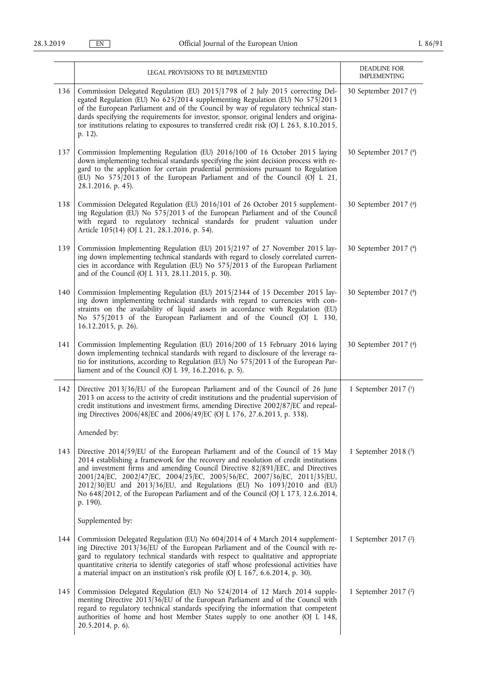|     | LEGAL PROVISIONS TO BE IMPLEMENTED                                                                                                                                                                                                                                                                                                                                                                                                                                                                         | DEADLINE FOR                                 |
|-----|------------------------------------------------------------------------------------------------------------------------------------------------------------------------------------------------------------------------------------------------------------------------------------------------------------------------------------------------------------------------------------------------------------------------------------------------------------------------------------------------------------|----------------------------------------------|
| 136 | Commission Delegated Regulation (EU) 2015/1798 of 2 July 2015 correcting Del-<br>egated Regulation (EU) No 625/2014 supplementing Regulation (EU) No 575/2013<br>of the European Parliament and of the Council by way of regulatory technical stan-<br>dards specifying the requirements for investor, sponsor, original lenders and origina-<br>tor institutions relating to exposures to transferred credit risk (OJ L 263, 8.10.2015,<br>p. 12).                                                        | <b>IMPLEMENTING</b><br>30 September 2017 (4) |
| 137 | Commission Implementing Regulation (EU) 2016/100 of 16 October 2015 laying<br>down implementing technical standards specifying the joint decision process with re-<br>gard to the application for certain prudential permissions pursuant to Regulation<br>(EU) No 575/2013 of the European Parliament and of the Council (OJ L 21,<br>28.1.2016, p. 45).                                                                                                                                                  | 30 September 2017 (4)                        |
| 138 | Commission Delegated Regulation (EU) 2016/101 of 26 October 2015 supplement-<br>ing Regulation (EU) No 575/2013 of the European Parliament and of the Council<br>with regard to regulatory technical standards for prudent valuation under<br>Article 105(14) (OJ L 21, 28.1.2016, p. 54).                                                                                                                                                                                                                 | 30 September 2017 (4)                        |
| 139 | Commission Implementing Regulation (EU) 2015/2197 of 27 November 2015 lay-<br>ing down implementing technical standards with regard to closely correlated curren-<br>cies in accordance with Regulation (EU) No 575/2013 of the European Parliament<br>and of the Council (OJ L 313, 28.11.2015, p. 30).                                                                                                                                                                                                   | 30 September 2017 (4)                        |
| 140 | Commission Implementing Regulation (EU) 2015/2344 of 15 December 2015 lay-<br>ing down implementing technical standards with regard to currencies with con-<br>straints on the availability of liquid assets in accordance with Regulation (EU)<br>No 575/2013 of the European Parliament and of the Council (OJ L 330,<br>16.12.2015, p. 26).                                                                                                                                                             | 30 September 2017 (4)                        |
| 141 | Commission Implementing Regulation (EU) 2016/200 of 15 February 2016 laying<br>down implementing technical standards with regard to disclosure of the leverage ra-<br>tio for institutions, according to Regulation (EU) No 575/2013 of the European Par-<br>liament and of the Council (OJ L 39, 16.2.2016, p. 5).                                                                                                                                                                                        | 30 September 2017 (4)                        |
| 142 | Directive 2013/36/EU of the European Parliament and of the Council of 26 June<br>2013 on access to the activity of credit institutions and the prudential supervision of<br>credit institutions and investment firms, amending Directive 2002/87/EC and repeal-<br>ing Directives 2006/48/EC and 2006/49/EC (OJ L 176, 27.6.2013, p. 338).                                                                                                                                                                 | 1 September 2017 (1)                         |
|     | Amended by:                                                                                                                                                                                                                                                                                                                                                                                                                                                                                                |                                              |
| 143 | Directive 2014/59/EU of the European Parliament and of the Council of 15 May<br>2014 establishing a framework for the recovery and resolution of credit institutions<br>and investment firms and amending Council Directive 82/891/EEC, and Directives<br>2001/24/EC, 2002/47/EC, 2004/25/EC, 2005/56/EC, 2007/36/EC, 2011/35/EU,<br>2012/30/EU and 2013/36/EU, and Regulations (EU) No 1093/2010 and (EU)<br>No 648/2012, of the European Parliament and of the Council (OJ L 173, 12.6.2014,<br>p. 190). | 1 September 2018 (3)                         |
|     | Supplemented by:                                                                                                                                                                                                                                                                                                                                                                                                                                                                                           |                                              |
| 144 | Commission Delegated Regulation (EU) No 604/2014 of 4 March 2014 supplement-<br>ing Directive 2013/36/EU of the European Parliament and of the Council with re-<br>gard to regulatory technical standards with respect to qualitative and appropriate<br>quantitative criteria to identify categories of staff whose professional activities have<br>a material impact on an institution's risk profile (OJ L 167, 6.6.2014, p. 30).                                                                       | 1 September 2017 (2)                         |
| 145 | Commission Delegated Regulation (EU) No 524/2014 of 12 March 2014 supple-<br>menting Directive 2013/36/EU of the European Parliament and of the Council with<br>regard to regulatory technical standards specifying the information that competent<br>authorities of home and host Member States supply to one another (OJ L 148,<br>20.5.2014, p. 6).                                                                                                                                                     | 1 September 2017 (2)                         |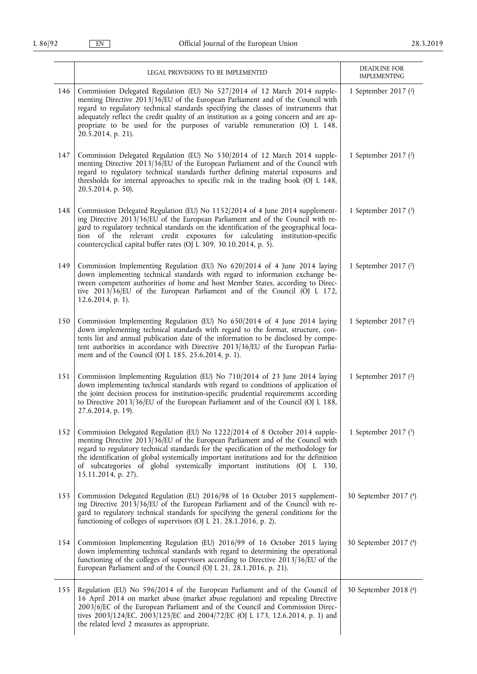|     | LEGAL PROVISIONS TO BE IMPLEMENTED                                                                                                                                                                                                                                                                                                                                                                                                                     | DEADLINE FOR<br><b>IMPLEMENTING</b> |
|-----|--------------------------------------------------------------------------------------------------------------------------------------------------------------------------------------------------------------------------------------------------------------------------------------------------------------------------------------------------------------------------------------------------------------------------------------------------------|-------------------------------------|
| 146 | Commission Delegated Regulation (EU) No 527/2014 of 12 March 2014 supple-<br>menting Directive 2013/36/EU of the European Parliament and of the Council with<br>regard to regulatory technical standards specifying the classes of instruments that<br>adequately reflect the credit quality of an institution as a going concern and are ap-<br>propriate to be used for the purposes of variable remuneration (OJ L 148,<br>20.5.2014, p. 21).       | 1 September 2017 (2)                |
| 147 | Commission Delegated Regulation (EU) No 530/2014 of 12 March 2014 supple-<br>menting Directive 2013/36/EU of the European Parliament and of the Council with<br>regard to regulatory technical standards further defining material exposures and<br>thresholds for internal approaches to specific risk in the trading book (OJ L 148,<br>20.5.2014, p. 50).                                                                                           | 1 September 2017 (2)                |
| 148 | Commission Delegated Regulation (EU) No 1152/2014 of 4 June 2014 supplement-<br>ing Directive 2013/36/EU of the European Parliament and of the Council with re-<br>gard to regulatory technical standards on the identification of the geographical loca-<br>tion of the relevant credit exposures for calculating<br>institution-specific<br>countercyclical capital buffer rates (OJ L 309, 30.10.2014, p. 5).                                       | 1 September 2017 (3)                |
| 149 | Commission Implementing Regulation (EU) No 620/2014 of 4 June 2014 laying<br>down implementing technical standards with regard to information exchange be-<br>tween competent authorities of home and host Member States, according to Direc-<br>tive 2013/36/EU of the European Parliament and of the Council (OJ L 172,<br>12.6.2014, p. 1).                                                                                                         | 1 September 2017 $(2)$              |
| 150 | Commission Implementing Regulation (EU) No 650/2014 of 4 June 2014 laying<br>down implementing technical standards with regard to the format, structure, con-<br>tents list and annual publication date of the information to be disclosed by compe-<br>tent authorities in accordance with Directive 2013/36/EU of the European Parlia-<br>ment and of the Council (OJ L 185, 25.6.2014, p. 1).                                                       | 1 September 2017 (2)                |
| 151 | Commission Implementing Regulation (EU) No 710/2014 of 23 June 2014 laying<br>down implementing technical standards with regard to conditions of application of<br>the joint decision process for institution-specific prudential requirements according<br>to Directive 2013/36/EU of the European Parliament and of the Council (OJ L 188,<br>27.6.2014, p. 19).                                                                                     | 1 September 2017 (2)                |
| 152 | Commission Delegated Regulation (EU) No 1222/2014 of 8 October 2014 supple-<br>menting Directive 2013/36/EU of the European Parliament and of the Council with<br>regard to regulatory technical standards for the specification of the methodology for<br>the identification of global systemically important institutions and for the definition<br>of subcategories of global systemically important institutions (OJ L 330,<br>15.11.2014, p. 27). | 1 September 2017 (3)                |
| 153 | Commission Delegated Regulation (EU) 2016/98 of 16 October 2015 supplement-<br>ing Directive 2013/36/EU of the European Parliament and of the Council with re-<br>gard to regulatory technical standards for specifying the general conditions for the<br>functioning of colleges of supervisors (OJ L 21, 28.1.2016, p. 2).                                                                                                                           | 30 September 2017 (4)               |
| 154 | Commission Implementing Regulation (EU) 2016/99 of 16 October 2015 laying<br>down implementing technical standards with regard to determining the operational<br>functioning of the colleges of supervisors according to Directive $2013/36$ EU of the<br>European Parliament and of the Council (OJ L 21, 28.1.2016, p. 21).                                                                                                                          | 30 September 2017 (4)               |
| 155 | Regulation (EU) No 596/2014 of the European Parliament and of the Council of<br>16 April 2014 on market abuse (market abuse regulation) and repealing Directive<br>2003/6/EC of the European Parliament and of the Council and Commission Direc-<br>tives 2003/124/EC, 2003/125/EC and 2004/72/EC (OJ L 173, 12.6.2014, p. 1) and<br>the related level 2 measures as appropriate.                                                                      | 30 September 2018 (4)               |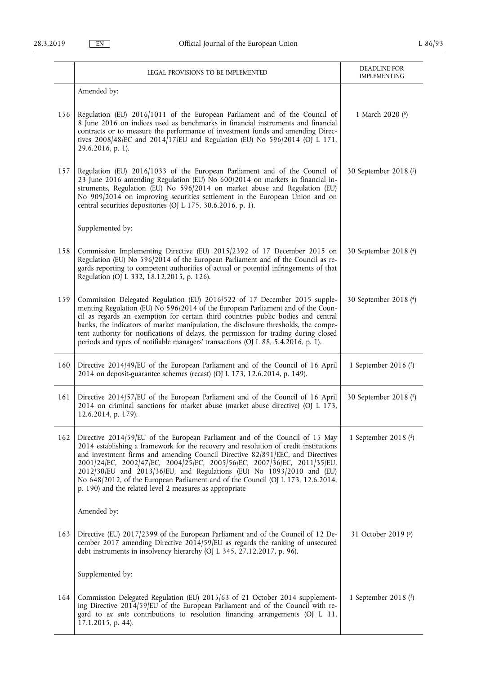|     | LEGAL PROVISIONS TO BE IMPLEMENTED                                                                                                                                                                                                                                                                                                                                                                                                                                                                                                                        | DEADLINE FOR<br><b>IMPLEMENTING</b> |
|-----|-----------------------------------------------------------------------------------------------------------------------------------------------------------------------------------------------------------------------------------------------------------------------------------------------------------------------------------------------------------------------------------------------------------------------------------------------------------------------------------------------------------------------------------------------------------|-------------------------------------|
|     | Amended by:                                                                                                                                                                                                                                                                                                                                                                                                                                                                                                                                               |                                     |
| 156 | Regulation (EU) 2016/1011 of the European Parliament and of the Council of<br>8 June 2016 on indices used as benchmarks in financial instruments and financial<br>contracts or to measure the performance of investment funds and amending Direc-<br>tives $2008/48$ /EC and $2014/17$ /EU and Regulation (EU) No 596/2014 (OJ L 171,<br>29.6.2016, p. 1).                                                                                                                                                                                                | 1 March 2020 (6)                    |
| 157 | Regulation (EU) 2016/1033 of the European Parliament and of the Council of<br>23 June 2016 amending Regulation (EU) No 600/2014 on markets in financial in-<br>struments, Regulation (EU) No 596/2014 on market abuse and Regulation (EU)<br>No 909/2014 on improving securities settlement in the European Union and on<br>central securities depositories (OJ L 175, 30.6.2016, p. 1).                                                                                                                                                                  | 30 September 2018 (5)               |
|     | Supplemented by:                                                                                                                                                                                                                                                                                                                                                                                                                                                                                                                                          |                                     |
| 158 | Commission Implementing Directive (EU) 2015/2392 of 17 December 2015 on<br>Regulation (EU) No 596/2014 of the European Parliament and of the Council as re-<br>gards reporting to competent authorities of actual or potential infringements of that<br>Regulation (OJ L 332, 18.12.2015, p. 126).                                                                                                                                                                                                                                                        | 30 September 2018 (4)               |
| 159 | Commission Delegated Regulation (EU) 2016/522 of 17 December 2015 supple-<br>menting Regulation (EU) No 596/2014 of the European Parliament and of the Coun-<br>cil as regards an exemption for certain third countries public bodies and central<br>banks, the indicators of market manipulation, the disclosure thresholds, the compe-<br>tent authority for notifications of delays, the permission for trading during closed<br>periods and types of notifiable managers' transactions (OJ L 88, 5.4.2016, p. 1).                                     | 30 September 2018 (4)               |
| 160 | Directive 2014/49/EU of the European Parliament and of the Council of 16 April<br>2014 on deposit-guarantee schemes (recast) (OJ L 173, 12.6.2014, p. 149).                                                                                                                                                                                                                                                                                                                                                                                               | 1 September 2016 (2)                |
| 161 | Directive 2014/57/EU of the European Parliament and of the Council of 16 April<br>2014 on criminal sanctions for market abuse (market abuse directive) (OJ L 173,<br>12.6.2014, p. 179).                                                                                                                                                                                                                                                                                                                                                                  | 30 September 2018 (4)               |
| 162 | Directive 2014/59/EU of the European Parliament and of the Council of 15 May<br>2014 establishing a framework for the recovery and resolution of credit institutions<br>and investment firms and amending Council Directive 82/891/EEC, and Directives<br>2001/24/EC, 2002/47/EC, 2004/25/EC, 2005/56/EC, 2007/36/EC, 2011/35/EU,<br>2012/30/EU and 2013/36/EU, and Regulations (EU) No 1093/2010 and (EU)<br>No 648/2012, of the European Parliament and of the Council (OJ L 173, 12.6.2014,<br>p. 190) and the related level 2 measures as appropriate | 1 September 2018 (2)                |
|     | Amended by:                                                                                                                                                                                                                                                                                                                                                                                                                                                                                                                                               |                                     |
| 163 | Directive (EU) 2017/2399 of the European Parliament and of the Council of 12 De-<br>cember 2017 amending Directive 2014/59/EU as regards the ranking of unsecured<br>debt instruments in insolvency hierarchy (OJ L 345, 27.12.2017, p. 96).                                                                                                                                                                                                                                                                                                              | 31 October 2019 (6)                 |
|     | Supplemented by:                                                                                                                                                                                                                                                                                                                                                                                                                                                                                                                                          |                                     |
| 164 | Commission Delegated Regulation (EU) 2015/63 of 21 October 2014 supplement-<br>ing Directive 2014/59/EU of the European Parliament and of the Council with re-<br>gard to ex ante contributions to resolution financing arrangements (OJ L 11,<br>17.1.2015, p. 44).                                                                                                                                                                                                                                                                                      | 1 September 2018 $(3)$              |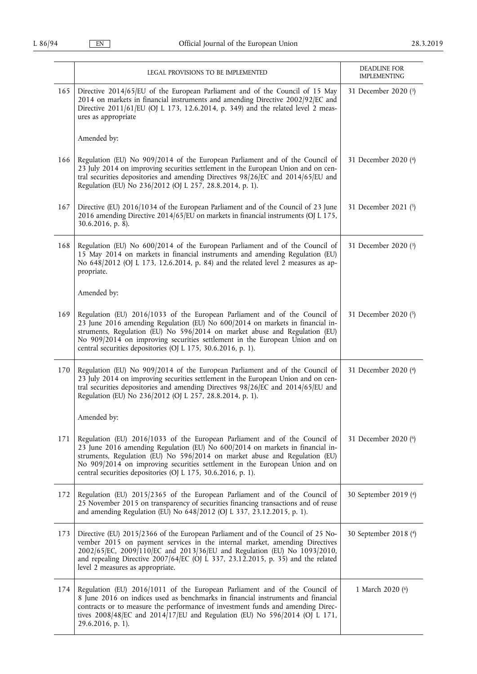|     | LEGAL PROVISIONS TO BE IMPLEMENTED                                                                                                                                                                                                                                                                                                                                                       | DEADLINE FOR<br><b>IMPLEMENTING</b> |
|-----|------------------------------------------------------------------------------------------------------------------------------------------------------------------------------------------------------------------------------------------------------------------------------------------------------------------------------------------------------------------------------------------|-------------------------------------|
| 165 | Directive 2014/65/EU of the European Parliament and of the Council of 15 May<br>2014 on markets in financial instruments and amending Directive 2002/92/EC and<br>Directive 2011/61/EU (OJ L 173, 12.6.2014, p. 349) and the related level 2 meas-<br>ures as appropriate                                                                                                                | 31 December 2020 (3)                |
|     | Amended by:                                                                                                                                                                                                                                                                                                                                                                              |                                     |
| 166 | Regulation (EU) No 909/2014 of the European Parliament and of the Council of<br>23 July 2014 on improving securities settlement in the European Union and on cen-<br>tral securities depositories and amending Directives 98/26/EC and 2014/65/EU and<br>Regulation (EU) No 236/2012 (OJ L 257, 28.8.2014, p. 1).                                                                        | 31 December 2020 (4)                |
| 167 | Directive (EU) 2016/1034 of the European Parliament and of the Council of 23 June<br>2016 amending Directive 2014/65/EU on markets in financial instruments (OJ L 175,<br>30.6.2016, p. 8).                                                                                                                                                                                              | 31 December 2021 (5)                |
| 168 | Regulation (EU) No 600/2014 of the European Parliament and of the Council of<br>15 May 2014 on markets in financial instruments and amending Regulation (EU)<br>No 648/2012 (OJ L 173, 12.6.2014, p. 84) and the related level 2 measures as ap-<br>propriate.                                                                                                                           | 31 December 2020 (3)                |
|     | Amended by:                                                                                                                                                                                                                                                                                                                                                                              |                                     |
| 169 | Regulation (EU) 2016/1033 of the European Parliament and of the Council of<br>23 June 2016 amending Regulation (EU) No 600/2014 on markets in financial in-<br>struments, Regulation (EU) No 596/2014 on market abuse and Regulation (EU)<br>No 909/2014 on improving securities settlement in the European Union and on<br>central securities depositories (OJ L 175, 30.6.2016, p. 1). | 31 December 2020 (5)                |
| 170 | Regulation (EU) No 909/2014 of the European Parliament and of the Council of<br>23 July 2014 on improving securities settlement in the European Union and on cen-<br>tral securities depositories and amending Directives 98/26/EC and 2014/65/EU and<br>Regulation (EU) No 236/2012 (OJ L 257, 28.8.2014, p. 1).                                                                        | 31 December 2020 (4)                |
|     | Amended by:                                                                                                                                                                                                                                                                                                                                                                              |                                     |
| 171 | Regulation (EU) 2016/1033 of the European Parliament and of the Council of<br>23 June 2016 amending Regulation (EU) No 600/2014 on markets in financial in-<br>struments, Regulation (EU) No 596/2014 on market abuse and Regulation (EU)<br>No 909/2014 on improving securities settlement in the European Union and on<br>central securities depositories (OJ L 175, 30.6.2016, p. 1). | 31 December 2020 (6)                |
| 172 | Regulation (EU) 2015/2365 of the European Parliament and of the Council of<br>25 November 2015 on transparency of securities financing transactions and of reuse<br>and amending Regulation (EU) No 648/2012 (OJ L 337, 23.12.2015, p. 1).                                                                                                                                               | 30 September 2019 (4)               |
| 173 | Directive (EU) 2015/2366 of the European Parliament and of the Council of 25 No-<br>vember 2015 on payment services in the internal market, amending Directives<br>2002/65/EC, 2009/110/EC and 2013/36/EU and Regulation (EU) No 1093/2010,<br>and repealing Directive 2007/64/EC (OJ L 337, 23.12.2015, p. 35) and the related<br>level 2 measures as appropriate.                      | 30 September 2018 (4)               |
| 174 | Regulation (EU) 2016/1011 of the European Parliament and of the Council of<br>8 June 2016 on indices used as benchmarks in financial instruments and financial<br>contracts or to measure the performance of investment funds and amending Direc-<br>tives 2008/48/EC and 2014/17/EU and Regulation (EU) No 596/2014 (OJ L 171,<br>29.6.2016, p. 1).                                     | 1 March 2020 (6)                    |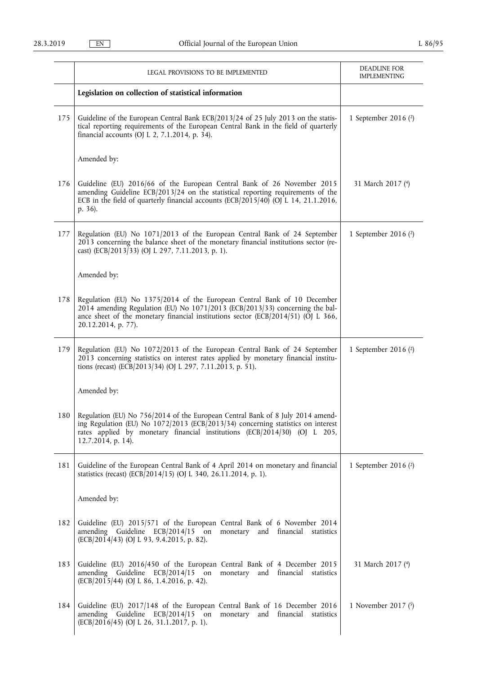|     | LEGAL PROVISIONS TO BE IMPLEMENTED                                                                                                                                                                                                                                    | <b>DEADLINE FOR</b><br><b>IMPLEMENTING</b> |
|-----|-----------------------------------------------------------------------------------------------------------------------------------------------------------------------------------------------------------------------------------------------------------------------|--------------------------------------------|
|     | Legislation on collection of statistical information                                                                                                                                                                                                                  |                                            |
| 175 | Guideline of the European Central Bank ECB/2013/24 of 25 July 2013 on the statis-<br>tical reporting requirements of the European Central Bank in the field of quarterly<br>financial accounts (OJ L 2, 7.1.2014, p. 34).                                             | 1 September 2016 (2)                       |
|     | Amended by:                                                                                                                                                                                                                                                           |                                            |
| 176 | Guideline (EU) 2016/66 of the European Central Bank of 26 November 2015<br>amending Guideline ECB/2013/24 on the statistical reporting requirements of the<br>ECB in the field of quarterly financial accounts (ECB/2015/40) (OJ L 14, 21.1.2016,<br>p. 36).          | 31 March 2017 (4)                          |
| 177 | Regulation (EU) No 1071/2013 of the European Central Bank of 24 September<br>2013 concerning the balance sheet of the monetary financial institutions sector (re-<br>cast) (ECB/2013/33) (OJ L 297, 7.11.2013, p. 1).                                                 | 1 September 2016 (2)                       |
|     | Amended by:                                                                                                                                                                                                                                                           |                                            |
| 178 | Regulation (EU) No 1375/2014 of the European Central Bank of 10 December<br>2014 amending Regulation (EU) No 1071/2013 (ECB/2013/33) concerning the bal-<br>ance sheet of the monetary financial institutions sector (ECB/2014/51) (OJ L 366,<br>20.12.2014, p. 77).  |                                            |
| 179 | Regulation (EU) No 1072/2013 of the European Central Bank of 24 September<br>2013 concerning statistics on interest rates applied by monetary financial institu-<br>tions (recast) (ECB/2013/34) (OJ L 297, 7.11.2013, p. 51).                                        | 1 September 2016 (2)                       |
|     | Amended by:                                                                                                                                                                                                                                                           |                                            |
| 180 | Regulation (EU) No 756/2014 of the European Central Bank of 8 July 2014 amend-<br>ing Regulation (EU) No 1072/2013 (ECB/2013/34) concerning statistics on interest<br>rates applied by monetary financial institutions (ECB/2014/30) (OJ L 205,<br>12.7.2014, p. 14). |                                            |
| 181 | Guideline of the European Central Bank of 4 April 2014 on monetary and financial<br>statistics (recast) (ECB/2014/15) (OJ L 340, 26.11.2014, p. 1).                                                                                                                   | 1 September 2016 (2)                       |
|     | Amended by:                                                                                                                                                                                                                                                           |                                            |
| 182 | Guideline (EU) 2015/571 of the European Central Bank of 6 November 2014<br>amending Guideline ECB/2014/15 on monetary and financial statistics<br>(ECB/2014/43) (OJ L 93, 9.4.2015, p. 82).                                                                           |                                            |
| 183 | Guideline (EU) 2016/450 of the European Central Bank of 4 December 2015<br>amending Guideline ECB/2014/15 on monetary and financial statistics<br>(ECB/2015/44) (OJ L 86, 1.4.2016, p. 42).                                                                           | 31 March 2017 (4)                          |
| 184 | Guideline (EU) 2017/148 of the European Central Bank of 16 December 2016<br>amending Guideline ECB/2014/15 on<br>monetary and financial<br>statistics<br>(ECB/2016/45) (OJ L 26, 31.1.2017, p. 1).                                                                    | 1 November 2017 (5)                        |